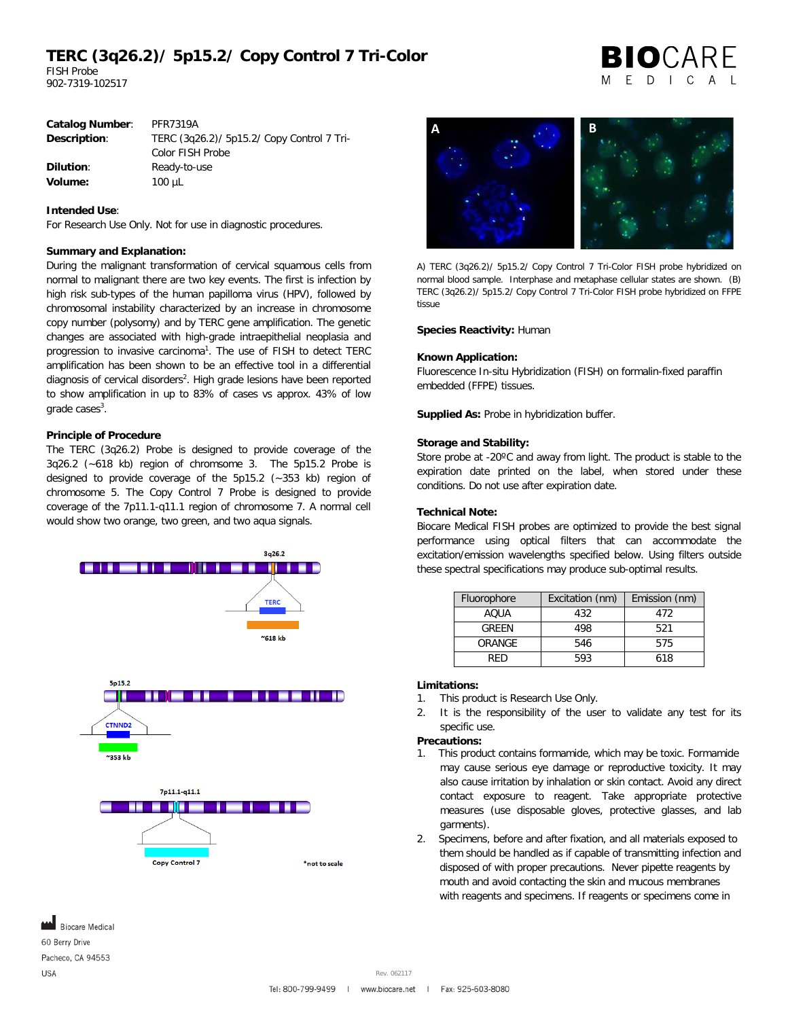# **TERC (3q26.2)/ 5p15.2/ Copy Control 7 Tri-Color**

FISH Probe 902-7319-102517

|  | <b>BIO</b> CARE |  |  |
|--|-----------------|--|--|
|  | MEDICAL         |  |  |

| <b>PFR7319A</b>                            |  |  |
|--------------------------------------------|--|--|
| TERC (3q26.2)/ 5p15.2/ Copy Control 7 Tri- |  |  |
| Color FISH Probe                           |  |  |
| Ready-to-use                               |  |  |
| $100 \mu L$                                |  |  |
|                                            |  |  |

### **Intended Use**:

For Research Use Only. Not for use in diagnostic procedures.

#### **Summary and Explanation:**

During the malignant transformation of cervical squamous cells from normal to malignant there are two key events. The first is infection by high risk sub-types of the human papilloma virus (HPV), followed by chromosomal instability characterized by an increase in chromosome copy number (polysomy) and by TERC gene amplification. The genetic changes are associated with high-grade intraepithelial neoplasia and progression to invasive carcinoma<sup>1</sup>. The use of FISH to detect TERC amplification has been shown to be an effective tool in a differential diagnosis of cervical disorders<sup>2</sup>. High grade lesions have been reported to show amplification in up to 83% of cases vs approx. 43% of low grade cases<sup>3</sup>.

#### **Principle of Procedure**

The TERC (3q26.2) Probe is designed to provide coverage of the 3q26.2 (~618 kb) region of chromsome 3. The 5p15.2 Probe is designed to provide coverage of the 5p15.2 (~353 kb) region of chromosome 5. The Copy Control 7 Probe is designed to provide coverage of the 7p11.1-q11.1 region of chromosome 7. A normal cell would show two orange, two green, and two aqua signals.





A) TERC (3q26.2)/ 5p15.2/ Copy Control 7 Tri-Color FISH probe hybridized on normal blood sample. Interphase and metaphase cellular states are shown. (B) TERC (3q26.2)/ 5p15.2/ Copy Control 7 Tri-Color FISH probe hybridized on FFPE tissue

#### **Species Reactivity:** Human

#### **Known Application:**

Fluorescence In-situ Hybridization (FISH) on formalin-fixed paraffin embedded (FFPE) tissues.

**Supplied As:** Probe in hybridization buffer.

#### **Storage and Stability:**

Store probe at -20ºC and away from light. The product is stable to the expiration date printed on the label, when stored under these conditions. Do not use after expiration date.

#### **Technical Note:**

Biocare Medical FISH probes are optimized to provide the best signal performance using optical filters that can accommodate the excitation/emission wavelengths specified below. Using filters outside these spectral specifications may produce sub-optimal results.

| Fluorophore | Excitation (nm) | Emission (nm) |  |
|-------------|-----------------|---------------|--|
| AOUA        | 432             | 472           |  |
| GRFFN       | 498             | 521           |  |
| ORANGE      | 546             | 575           |  |
| RFD         | 593             | 618           |  |

### **Limitations:**

- 1. This product is Research Use Only.
- 2. It is the responsibility of the user to validate any test for its specific use.

## **Precautions:**

- 1. This product contains formamide, which may be toxic. Formamide may cause serious eye damage or reproductive toxicity. It may also cause irritation by inhalation or skin contact. Avoid any direct contact exposure to reagent. Take appropriate protective measures (use disposable gloves, protective glasses, and lab garments).
- 2. Specimens, before and after fixation, and all materials exposed to them should be handled as if capable of transmitting infection and disposed of with proper precautions. Never pipette reagents by mouth and avoid contacting the skin and mucous membranes with reagents and specimens. If reagents or specimens come in